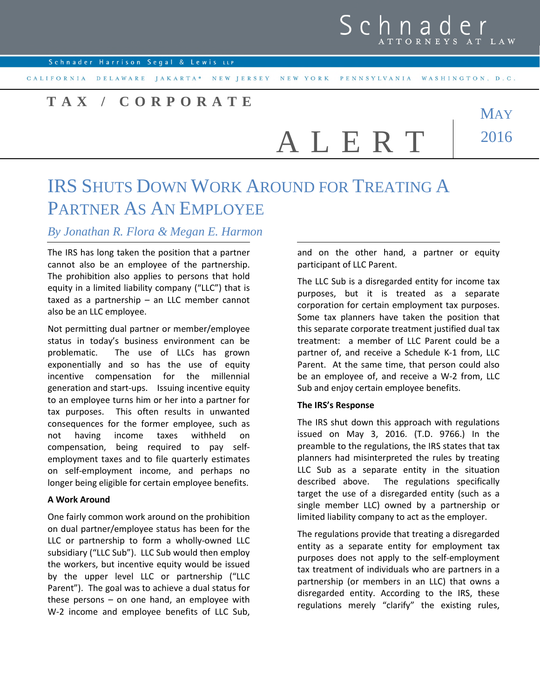Schnader Harrison Segal & Lewis LLP

CALIFORNIA DELAWARE JAKARTA\* NEW JERSEY NEW YORK PENNSYLVANIA WASHINGTON, D.C.

## **T A X / C O R P O R A T E**

A L E R T

**MAY** 2016

# IRS SHUTS DOWN WORK AROUND FOR TREATING A PARTNER AS AN EMPLOYEE

### *By Jonathan R. Flora & Megan E. Harmon*

The IRS has long taken the position that a partner cannot also be an employee of the partnership. The prohibition also applies to persons that hold equity in a limited liability company ("LLC") that is taxed as a partnership – an LLC member cannot also be an LLC employee.

Not permitting dual partner or member/employee status in today's business environment can be problematic. The use of LLCs has grown exponentially and so has the use of equity incentive compensation for the millennial generation and start-ups. Issuing incentive equity to an employee turns him or her into a partner for tax purposes. This often results in unwanted consequences for the former employee, such as not having income taxes withheld on compensation, being required to pay selfemployment taxes and to file quarterly estimates on self-employment income, and perhaps no longer being eligible for certain employee benefits.

#### **A Work Around**

One fairly common work around on the prohibition on dual partner/employee status has been for the LLC or partnership to form a wholly-owned LLC subsidiary ("LLC Sub"). LLC Sub would then employ the workers, but incentive equity would be issued by the upper level LLC or partnership ("LLC Parent"). The goal was to achieve a dual status for these persons – on one hand, an employee with W-2 income and employee benefits of LLC Sub, and on the other hand, a partner or equity participant of LLC Parent.

The LLC Sub is a disregarded entity for income tax purposes, but it is treated as a separate corporation for certain employment tax purposes. Some tax planners have taken the position that this separate corporate treatment justified dual tax treatment: a member of LLC Parent could be a partner of, and receive a Schedule K-1 from, LLC Parent. At the same time, that person could also be an employee of, and receive a W-2 from, LLC Sub and enjoy certain employee benefits.

#### **The IRS's Response**

The IRS shut down this approach with regulations issued on May 3, 2016. (T.D. 9766.) In the preamble to the regulations, the IRS states that tax planners had misinterpreted the rules by treating LLC Sub as a separate entity in the situation described above. The regulations specifically target the use of a disregarded entity (such as a single member LLC) owned by a partnership or limited liability company to act as the employer.

The regulations provide that treating a disregarded entity as a separate entity for employment tax purposes does not apply to the self-employment tax treatment of individuals who are partners in a partnership (or members in an LLC) that owns a disregarded entity. According to the IRS, these regulations merely "clarify" the existing rules,